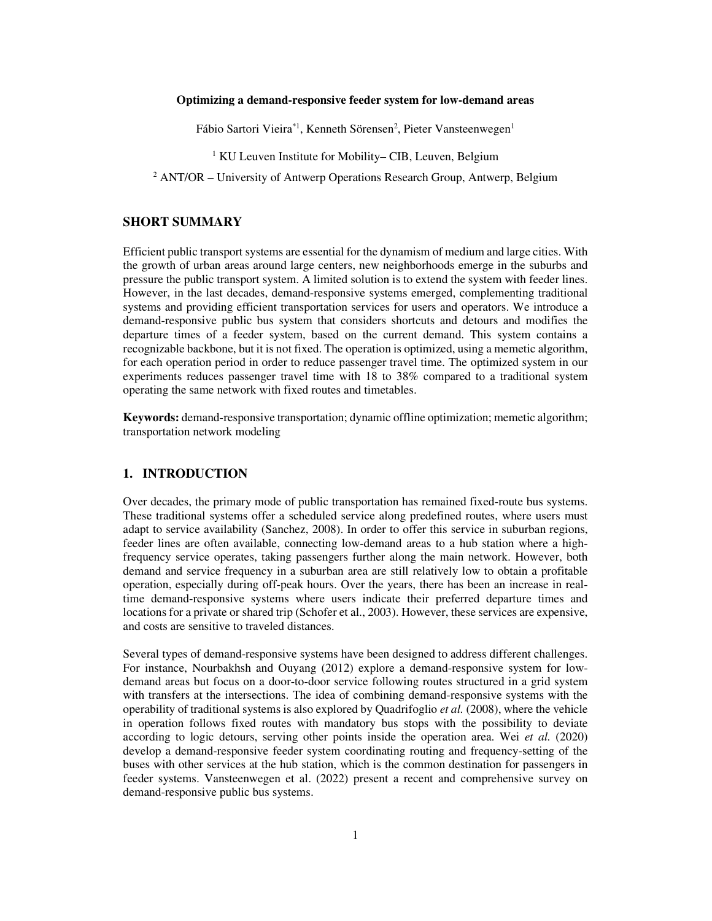### **Optimizing a demand-responsive feeder system for low-demand areas**

Fábio Sartori Vieira\*<sup>1</sup>, Kenneth Sörensen<sup>2</sup>, Pieter Vansteenwegen<sup>1</sup>

<sup>1</sup> KU Leuven Institute for Mobility– CIB, Leuven, Belgium

<sup>2</sup> ANT/OR – University of Antwerp Operations Research Group, Antwerp, Belgium

## **SHORT SUMMARY**

Efficient public transport systems are essential for the dynamism of medium and large cities. With the growth of urban areas around large centers, new neighborhoods emerge in the suburbs and pressure the public transport system. A limited solution is to extend the system with feeder lines. However, in the last decades, demand-responsive systems emerged, complementing traditional systems and providing efficient transportation services for users and operators. We introduce a demand-responsive public bus system that considers shortcuts and detours and modifies the departure times of a feeder system, based on the current demand. This system contains a recognizable backbone, but it is not fixed. The operation is optimized, using a memetic algorithm, for each operation period in order to reduce passenger travel time. The optimized system in our experiments reduces passenger travel time with 18 to 38% compared to a traditional system operating the same network with fixed routes and timetables.

**Keywords:** demand-responsive transportation; dynamic offline optimization; memetic algorithm; transportation network modeling

## **1. INTRODUCTION**

Over decades, the primary mode of public transportation has remained fixed-route bus systems. These traditional systems offer a scheduled service along predefined routes, where users must adapt to service availability (Sanchez, 2008). In order to offer this service in suburban regions, feeder lines are often available, connecting low-demand areas to a hub station where a highfrequency service operates, taking passengers further along the main network. However, both demand and service frequency in a suburban area are still relatively low to obtain a profitable operation, especially during off-peak hours. Over the years, there has been an increase in realtime demand-responsive systems where users indicate their preferred departure times and locations for a private or shared trip (Schofer et al., 2003). However, these services are expensive, and costs are sensitive to traveled distances.

Several types of demand-responsive systems have been designed to address different challenges. For instance, Nourbakhsh and Ouyang (2012) explore a demand-responsive system for lowdemand areas but focus on a door-to-door service following routes structured in a grid system with transfers at the intersections. The idea of combining demand-responsive systems with the operability of traditional systems is also explored by Quadrifoglio *et al.* (2008), where the vehicle in operation follows fixed routes with mandatory bus stops with the possibility to deviate according to logic detours, serving other points inside the operation area. Wei *et al.* (2020) develop a demand-responsive feeder system coordinating routing and frequency-setting of the buses with other services at the hub station, which is the common destination for passengers in feeder systems. Vansteenwegen et al. (2022) present a recent and comprehensive survey on demand-responsive public bus systems.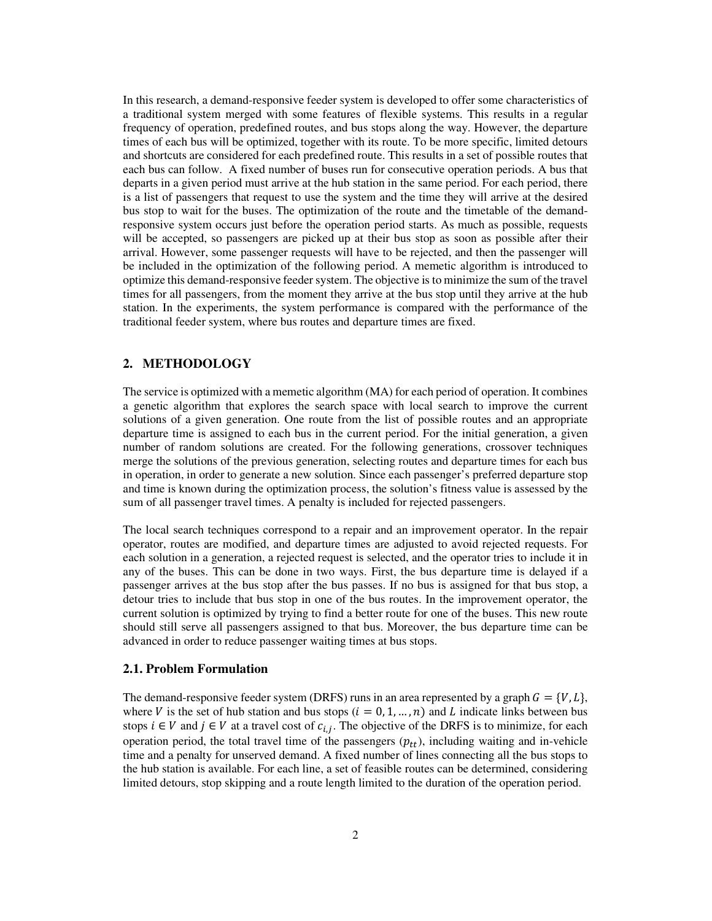In this research, a demand-responsive feeder system is developed to offer some characteristics of a traditional system merged with some features of flexible systems. This results in a regular frequency of operation, predefined routes, and bus stops along the way. However, the departure times of each bus will be optimized, together with its route. To be more specific, limited detours and shortcuts are considered for each predefined route. This results in a set of possible routes that each bus can follow. A fixed number of buses run for consecutive operation periods. A bus that departs in a given period must arrive at the hub station in the same period. For each period, there is a list of passengers that request to use the system and the time they will arrive at the desired bus stop to wait for the buses. The optimization of the route and the timetable of the demandresponsive system occurs just before the operation period starts. As much as possible, requests will be accepted, so passengers are picked up at their bus stop as soon as possible after their arrival. However, some passenger requests will have to be rejected, and then the passenger will be included in the optimization of the following period. A memetic algorithm is introduced to optimize this demand-responsive feeder system. The objective is to minimize the sum of the travel times for all passengers, from the moment they arrive at the bus stop until they arrive at the hub station. In the experiments, the system performance is compared with the performance of the traditional feeder system, where bus routes and departure times are fixed.

# **2. METHODOLOGY**

The service is optimized with a memetic algorithm (MA) for each period of operation. It combines a genetic algorithm that explores the search space with local search to improve the current solutions of a given generation. One route from the list of possible routes and an appropriate departure time is assigned to each bus in the current period. For the initial generation, a given number of random solutions are created. For the following generations, crossover techniques merge the solutions of the previous generation, selecting routes and departure times for each bus in operation, in order to generate a new solution. Since each passenger's preferred departure stop and time is known during the optimization process, the solution's fitness value is assessed by the sum of all passenger travel times. A penalty is included for rejected passengers.

The local search techniques correspond to a repair and an improvement operator. In the repair operator, routes are modified, and departure times are adjusted to avoid rejected requests. For each solution in a generation, a rejected request is selected, and the operator tries to include it in any of the buses. This can be done in two ways. First, the bus departure time is delayed if a passenger arrives at the bus stop after the bus passes. If no bus is assigned for that bus stop, a detour tries to include that bus stop in one of the bus routes. In the improvement operator, the current solution is optimized by trying to find a better route for one of the buses. This new route should still serve all passengers assigned to that bus. Moreover, the bus departure time can be advanced in order to reduce passenger waiting times at bus stops.

#### **2.1. Problem Formulation**

The demand-responsive feeder system (DRFS) runs in an area represented by a graph  $G = \{V, L\}$ , where V is the set of hub station and bus stops  $(i = 0, 1, ..., n)$  and L indicate links between bus stops  $i \in V$  and  $j \in V$  at a travel cost of  $c_{i,j}$ . The objective of the DRFS is to minimize, for each operation period, the total travel time of the passengers  $(p_{tt})$ , including waiting and in-vehicle time and a penalty for unserved demand. A fixed number of lines connecting all the bus stops to the hub station is available. For each line, a set of feasible routes can be determined, considering limited detours, stop skipping and a route length limited to the duration of the operation period.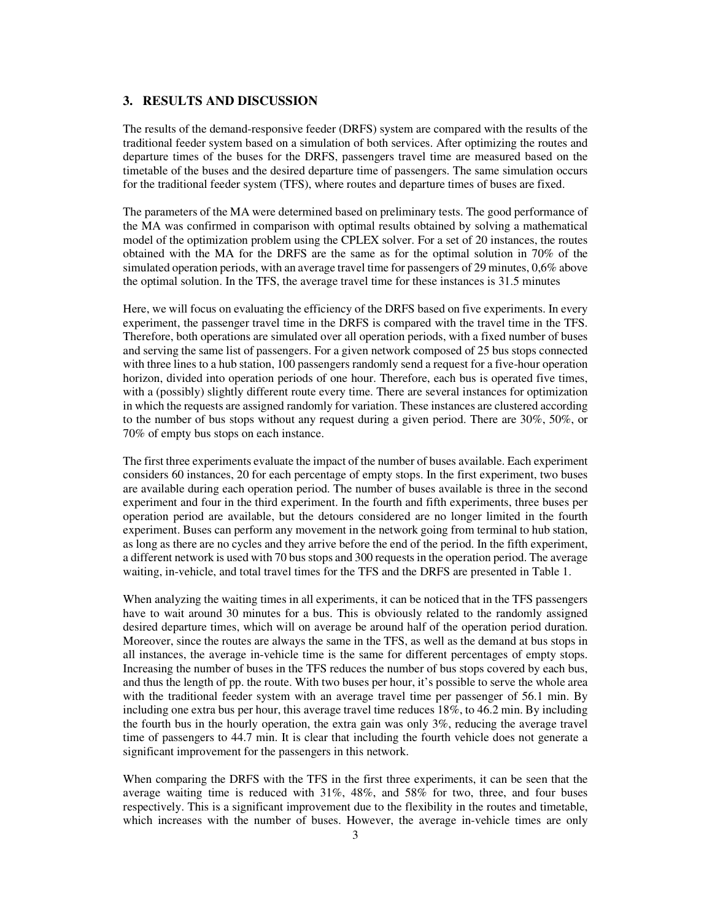### **3. RESULTS AND DISCUSSION**

The results of the demand-responsive feeder (DRFS) system are compared with the results of the traditional feeder system based on a simulation of both services. After optimizing the routes and departure times of the buses for the DRFS, passengers travel time are measured based on the timetable of the buses and the desired departure time of passengers. The same simulation occurs for the traditional feeder system (TFS), where routes and departure times of buses are fixed.

The parameters of the MA were determined based on preliminary tests. The good performance of the MA was confirmed in comparison with optimal results obtained by solving a mathematical model of the optimization problem using the CPLEX solver. For a set of 20 instances, the routes obtained with the MA for the DRFS are the same as for the optimal solution in 70% of the simulated operation periods, with an average travel time for passengers of 29 minutes, 0,6% above the optimal solution. In the TFS, the average travel time for these instances is 31.5 minutes

Here, we will focus on evaluating the efficiency of the DRFS based on five experiments. In every experiment, the passenger travel time in the DRFS is compared with the travel time in the TFS. Therefore, both operations are simulated over all operation periods, with a fixed number of buses and serving the same list of passengers. For a given network composed of 25 bus stops connected with three lines to a hub station, 100 passengers randomly send a request for a five-hour operation horizon, divided into operation periods of one hour. Therefore, each bus is operated five times, with a (possibly) slightly different route every time. There are several instances for optimization in which the requests are assigned randomly for variation. These instances are clustered according to the number of bus stops without any request during a given period. There are 30%, 50%, or 70% of empty bus stops on each instance.

The first three experiments evaluate the impact of the number of buses available. Each experiment considers 60 instances, 20 for each percentage of empty stops. In the first experiment, two buses are available during each operation period. The number of buses available is three in the second experiment and four in the third experiment. In the fourth and fifth experiments, three buses per operation period are available, but the detours considered are no longer limited in the fourth experiment. Buses can perform any movement in the network going from terminal to hub station, as long as there are no cycles and they arrive before the end of the period. In the fifth experiment, a different network is used with 70 bus stops and 300 requests in the operation period. The average waiting, in-vehicle, and total travel times for the TFS and the DRFS are presented in Table 1.

When analyzing the waiting times in all experiments, it can be noticed that in the TFS passengers have to wait around 30 minutes for a bus. This is obviously related to the randomly assigned desired departure times, which will on average be around half of the operation period duration. Moreover, since the routes are always the same in the TFS, as well as the demand at bus stops in all instances, the average in-vehicle time is the same for different percentages of empty stops. Increasing the number of buses in the TFS reduces the number of bus stops covered by each bus, and thus the length of pp. the route. With two buses per hour, it's possible to serve the whole area with the traditional feeder system with an average travel time per passenger of 56.1 min. By including one extra bus per hour, this average travel time reduces 18%, to 46.2 min. By including the fourth bus in the hourly operation, the extra gain was only 3%, reducing the average travel time of passengers to 44.7 min. It is clear that including the fourth vehicle does not generate a significant improvement for the passengers in this network.

When comparing the DRFS with the TFS in the first three experiments, it can be seen that the average waiting time is reduced with 31%, 48%, and 58% for two, three, and four buses respectively. This is a significant improvement due to the flexibility in the routes and timetable, which increases with the number of buses. However, the average in-vehicle times are only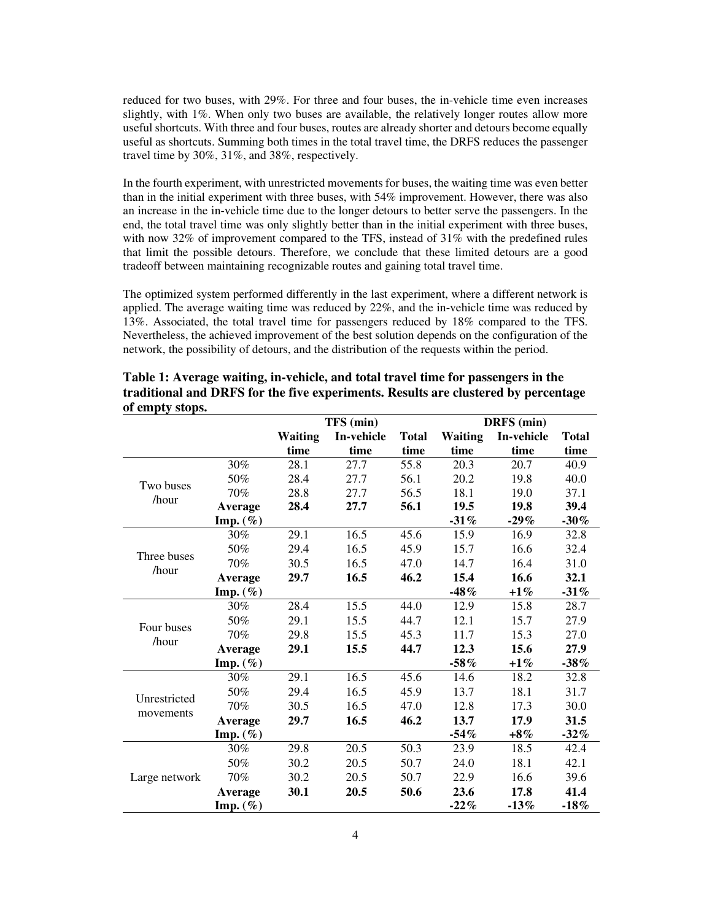reduced for two buses, with 29%. For three and four buses, the in-vehicle time even increases slightly, with 1%. When only two buses are available, the relatively longer routes allow more useful shortcuts. With three and four buses, routes are already shorter and detours become equally useful as shortcuts. Summing both times in the total travel time, the DRFS reduces the passenger travel time by 30%, 31%, and 38%, respectively.

In the fourth experiment, with unrestricted movements for buses, the waiting time was even better than in the initial experiment with three buses, with 54% improvement. However, there was also an increase in the in-vehicle time due to the longer detours to better serve the passengers. In the end, the total travel time was only slightly better than in the initial experiment with three buses, with now 32% of improvement compared to the TFS, instead of 31% with the predefined rules that limit the possible detours. Therefore, we conclude that these limited detours are a good tradeoff between maintaining recognizable routes and gaining total travel time.

The optimized system performed differently in the last experiment, where a different network is applied. The average waiting time was reduced by 22%, and the in-vehicle time was reduced by 13%. Associated, the total travel time for passengers reduced by 18% compared to the TFS. Nevertheless, the achieved improvement of the best solution depends on the configuration of the network, the possibility of detours, and the distribution of the requests within the period.

|                           |                     | TFS (min)      |            |              | DRFS (min)     |             |              |
|---------------------------|---------------------|----------------|------------|--------------|----------------|-------------|--------------|
|                           |                     | <b>Waiting</b> | In-vehicle | <b>Total</b> | <b>Waiting</b> | In-vehicle  | <b>Total</b> |
|                           |                     | time           | time       | time         | time           | time        | time         |
| Two buses<br>/hour        | 30%                 | 28.1           | 27.7       | 55.8         | 20.3           | 20.7        | 40.9         |
|                           | 50%                 | 28.4           | 27.7       | 56.1         | 20.2           | 19.8        | 40.0         |
|                           | 70%                 | 28.8           | 27.7       | 56.5         | 18.1           | 19.0        | 37.1         |
|                           | Average             | 28.4           | 27.7       | 56.1         | 19.5           | <b>19.8</b> | 39.4         |
|                           | Imp. $(\%)$         |                |            |              | $-31%$         | $-29%$      | $-30\%$      |
| Three buses<br>/hour      | 30%                 | 29.1           | 16.5       | 45.6         | 15.9           | 16.9        | 32.8         |
|                           | 50%                 | 29.4           | 16.5       | 45.9         | 15.7           | 16.6        | 32.4         |
|                           | 70%                 | 30.5           | 16.5       | 47.0         | 14.7           | 16.4        | 31.0         |
|                           | Average             | 29.7           | 16.5       | 46.2         | 15.4           | 16.6        | 32.1         |
|                           | Imp. $(\%)$         |                |            |              | $-48%$         | $+1\%$      | $-31%$       |
| Four buses<br>/hour       | $30\%$              | 28.4           | 15.5       | 44.0         | 12.9           | 15.8        | 28.7         |
|                           | 50%                 | 29.1           | 15.5       | 44.7         | 12.1           | 15.7        | 27.9         |
|                           | 70%                 | 29.8           | 15.5       | 45.3         | 11.7           | 15.3        | 27.0         |
|                           | Average             | 29.1           | 15.5       | 44.7         | 12.3           | 15.6        | 27.9         |
|                           | Imp. $(\% )$        |                |            |              | $-58%$         | $+1\%$      | $-38%$       |
| Unrestricted<br>movements | 30%                 | 29.1           | 16.5       | 45.6         | 14.6           | 18.2        | 32.8         |
|                           | 50%                 | 29.4           | 16.5       | 45.9         | 13.7           | 18.1        | 31.7         |
|                           | 70%                 | 30.5           | 16.5       | 47.0         | 12.8           | 17.3        | 30.0         |
|                           | Average             | 29.7           | 16.5       | 46.2         | 13.7           | 17.9        | 31.5         |
|                           | Imp. $(\%)$         |                |            |              | $-54%$         | $+8\%$      | $-32%$       |
| Large network             | 30%                 | 29.8           | 20.5       | 50.3         | 23.9           | 18.5        | 42.4         |
|                           | 50%                 | 30.2           | 20.5       | 50.7         | 24.0           | 18.1        | 42.1         |
|                           | 70%                 | 30.2           | 20.5       | 50.7         | 22.9           | 16.6        | 39.6         |
|                           | Average             | 30.1           | 20.5       | 50.6         | 23.6           | 17.8        | 41.4         |
|                           | $\mathbf{Imp.}(\%)$ |                |            |              | $-22%$         | $-13%$      | $-18\%$      |

**Table 1: Average waiting, in-vehicle, and total travel time for passengers in the traditional and DRFS for the five experiments. Results are clustered by percentage of empty stops.**